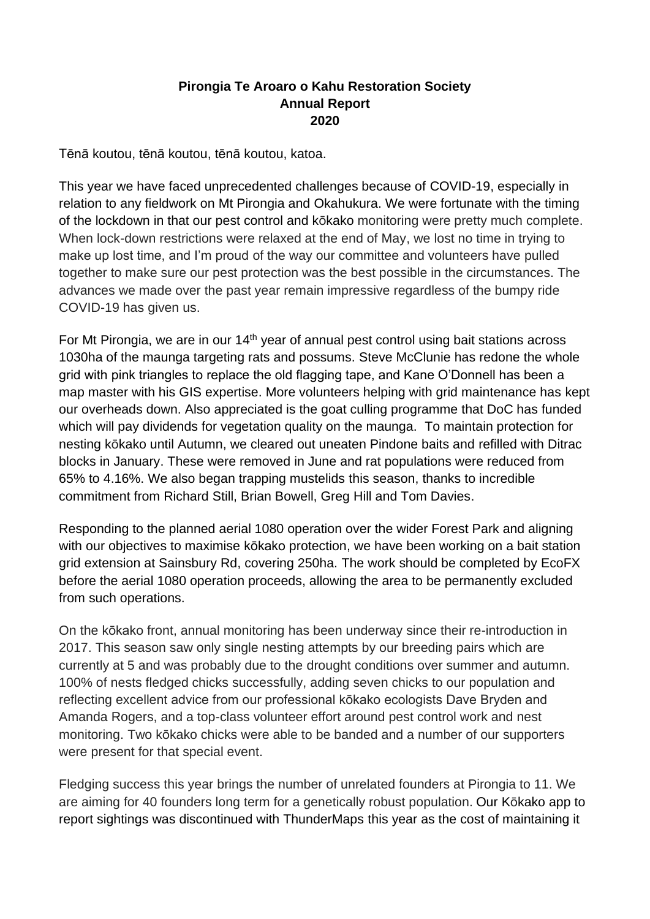## **Pirongia Te Aroaro o Kahu Restoration Society Annual Report 2020**

Tēnā koutou, tēnā koutou, tēnā koutou, katoa.

This year we have faced unprecedented challenges because of COVID-19, especially in relation to any fieldwork on Mt Pirongia and Okahukura. We were fortunate with the timing of the lockdown in that our pest control and kōkako monitoring were pretty much complete. When lock-down restrictions were relaxed at the end of May, we lost no time in trying to make up lost time, and I'm proud of the way our committee and volunteers have pulled together to make sure our pest protection was the best possible in the circumstances. The advances we made over the past year remain impressive regardless of the bumpy ride COVID-19 has given us.

For Mt Pirongia, we are in our 14<sup>th</sup> year of annual pest control using bait stations across 1030ha of the maunga targeting rats and possums. Steve McClunie has redone the whole grid with pink triangles to replace the old flagging tape, and Kane O'Donnell has been a map master with his GIS expertise. More volunteers helping with grid maintenance has kept our overheads down. Also appreciated is the goat culling programme that DoC has funded which will pay dividends for vegetation quality on the maunga. To maintain protection for nesting kōkako until Autumn, we cleared out uneaten Pindone baits and refilled with Ditrac blocks in January. These were removed in June and rat populations were reduced from 65% to 4.16%. We also began trapping mustelids this season, thanks to incredible commitment from Richard Still, Brian Bowell, Greg Hill and Tom Davies.

Responding to the planned aerial 1080 operation over the wider Forest Park and aligning with our objectives to maximise kōkako protection, we have been working on a bait station grid extension at Sainsbury Rd, covering 250ha. The work should be completed by EcoFX before the aerial 1080 operation proceeds, allowing the area to be permanently excluded from such operations.

On the kōkako front, annual monitoring has been underway since their re-introduction in 2017. This season saw only single nesting attempts by our breeding pairs which are currently at 5 and was probably due to the drought conditions over summer and autumn. 100% of nests fledged chicks successfully, adding seven chicks to our population and reflecting excellent advice from our professional kōkako ecologists Dave Bryden and Amanda Rogers, and a top-class volunteer effort around pest control work and nest monitoring. Two kōkako chicks were able to be banded and a number of our supporters were present for that special event.

Fledging success this year brings the number of unrelated founders at Pirongia to 11. We are aiming for 40 founders long term for a genetically robust population. Our Kōkako app to report sightings was discontinued with ThunderMaps this year as the cost of maintaining it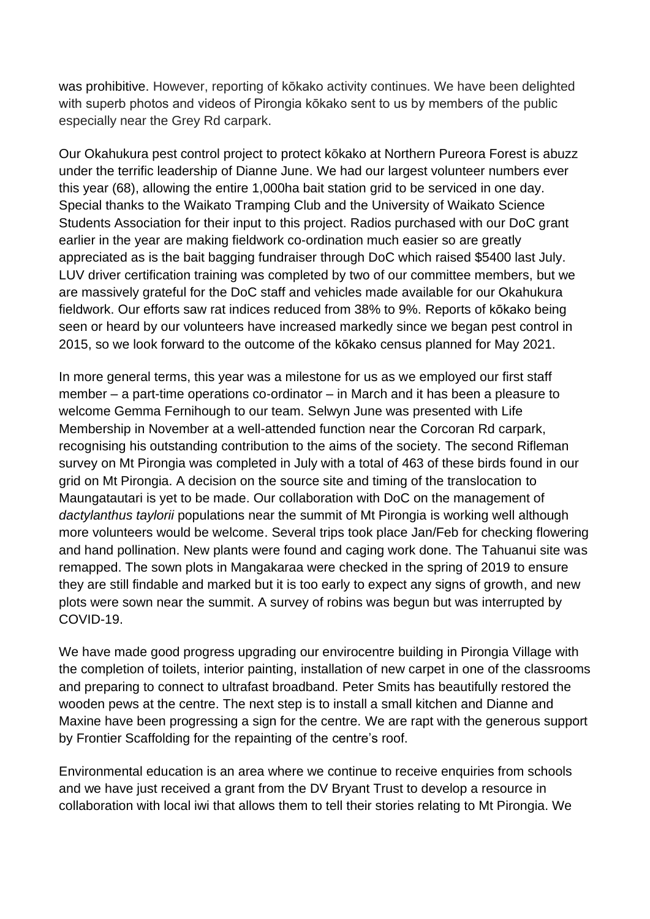was prohibitive. However, reporting of kōkako activity continues. We have been delighted with superb photos and videos of Pirongia kōkako sent to us by members of the public especially near the Grey Rd carpark.

Our Okahukura pest control project to protect kōkako at Northern Pureora Forest is abuzz under the terrific leadership of Dianne June. We had our largest volunteer numbers ever this year (68), allowing the entire 1,000ha bait station grid to be serviced in one day. Special thanks to the Waikato Tramping Club and the University of Waikato Science Students Association for their input to this project. Radios purchased with our DoC grant earlier in the year are making fieldwork co-ordination much easier so are greatly appreciated as is the bait bagging fundraiser through DoC which raised \$5400 last July. LUV driver certification training was completed by two of our committee members, but we are massively grateful for the DoC staff and vehicles made available for our Okahukura fieldwork. Our efforts saw rat indices reduced from 38% to 9%. Reports of kōkako being seen or heard by our volunteers have increased markedly since we began pest control in 2015, so we look forward to the outcome of the kōkako census planned for May 2021.

In more general terms, this year was a milestone for us as we employed our first staff member – a part-time operations co-ordinator – in March and it has been a pleasure to welcome Gemma Fernihough to our team. Selwyn June was presented with Life Membership in November at a well-attended function near the Corcoran Rd carpark, recognising his outstanding contribution to the aims of the society. The second Rifleman survey on Mt Pirongia was completed in July with a total of 463 of these birds found in our grid on Mt Pirongia. A decision on the source site and timing of the translocation to Maungatautari is yet to be made. Our collaboration with DoC on the management of *dactylanthus taylorii* populations near the summit of Mt Pirongia is working well although more volunteers would be welcome. Several trips took place Jan/Feb for checking flowering and hand pollination. New plants were found and caging work done. The Tahuanui site was remapped. The sown plots in Mangakaraa were checked in the spring of 2019 to ensure they are still findable and marked but it is too early to expect any signs of growth, and new plots were sown near the summit. A survey of robins was begun but was interrupted by COVID-19.

We have made good progress upgrading our envirocentre building in Pirongia Village with the completion of toilets, interior painting, installation of new carpet in one of the classrooms and preparing to connect to ultrafast broadband. Peter Smits has beautifully restored the wooden pews at the centre. The next step is to install a small kitchen and Dianne and Maxine have been progressing a sign for the centre. We are rapt with the generous support by Frontier Scaffolding for the repainting of the centre's roof.

Environmental education is an area where we continue to receive enquiries from schools and we have just received a grant from the DV Bryant Trust to develop a resource in collaboration with local iwi that allows them to tell their stories relating to Mt Pirongia. We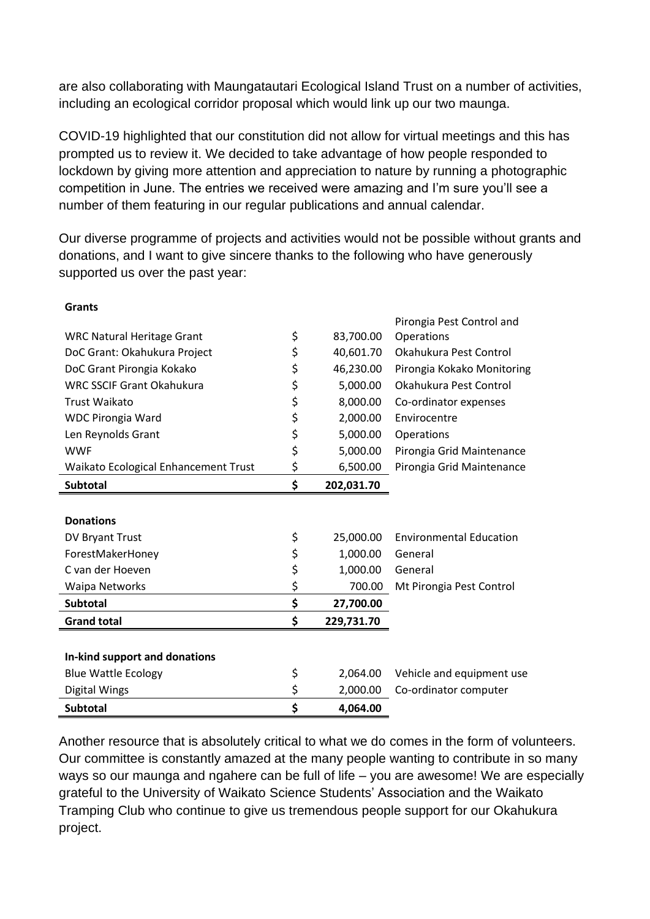are also collaborating with Maungatautari Ecological Island Trust on a number of activities, including an ecological corridor proposal which would link up our two maunga.

COVID-19 highlighted that our constitution did not allow for virtual meetings and this has prompted us to review it. We decided to take advantage of how people responded to lockdown by giving more attention and appreciation to nature by running a photographic competition in June. The entries we received were amazing and I'm sure you'll see a number of them featuring in our regular publications and annual calendar.

Our diverse programme of projects and activities would not be possible without grants and donations, and I want to give sincere thanks to the following who have generously supported us over the past year:

**Grants**

| <b>Subtotal</b>                      | \$<br>4,064.00   |                                |
|--------------------------------------|------------------|--------------------------------|
| <b>Digital Wings</b>                 | \$<br>2,000.00   | Co-ordinator computer          |
| <b>Blue Wattle Ecology</b>           | \$<br>2,064.00   | Vehicle and equipment use      |
| In-kind support and donations        |                  |                                |
|                                      |                  |                                |
| <b>Grand total</b>                   | \$<br>229,731.70 |                                |
| <b>Subtotal</b>                      | \$<br>27,700.00  |                                |
| <b>Waipa Networks</b>                | \$<br>700.00     | Mt Pirongia Pest Control       |
| C van der Hoeven                     | \$<br>1,000.00   | General                        |
| ForestMakerHoney                     | \$<br>1,000.00   | General                        |
| DV Bryant Trust                      | \$<br>25,000.00  | <b>Environmental Education</b> |
| <b>Donations</b>                     |                  |                                |
| <b>Subtotal</b>                      | \$<br>202,031.70 |                                |
| Waikato Ecological Enhancement Trust | \$<br>6,500.00   | Pirongia Grid Maintenance      |
| <b>WWF</b>                           | \$<br>5,000.00   | Pirongia Grid Maintenance      |
| Len Reynolds Grant                   | \$<br>5,000.00   | Operations                     |
| <b>WDC Pirongia Ward</b>             | \$<br>2,000.00   | Envirocentre                   |
| Trust Waikato                        | \$<br>8,000.00   | Co-ordinator expenses          |
| <b>WRC SSCIF Grant Okahukura</b>     | \$<br>5,000.00   | Okahukura Pest Control         |
| DoC Grant Pirongia Kokako            | \$<br>46,230.00  | Pirongia Kokako Monitoring     |
| DoC Grant: Okahukura Project         | \$<br>40,601.70  | Okahukura Pest Control         |
| <b>WRC Natural Heritage Grant</b>    | \$<br>83,700.00  | Operations                     |
|                                      |                  | Pirongia Pest Control and      |

Another resource that is absolutely critical to what we do comes in the form of volunteers. Our committee is constantly amazed at the many people wanting to contribute in so many ways so our maunga and ngahere can be full of life – you are awesome! We are especially grateful to the University of Waikato Science Students' Association and the Waikato Tramping Club who continue to give us tremendous people support for our Okahukura project.